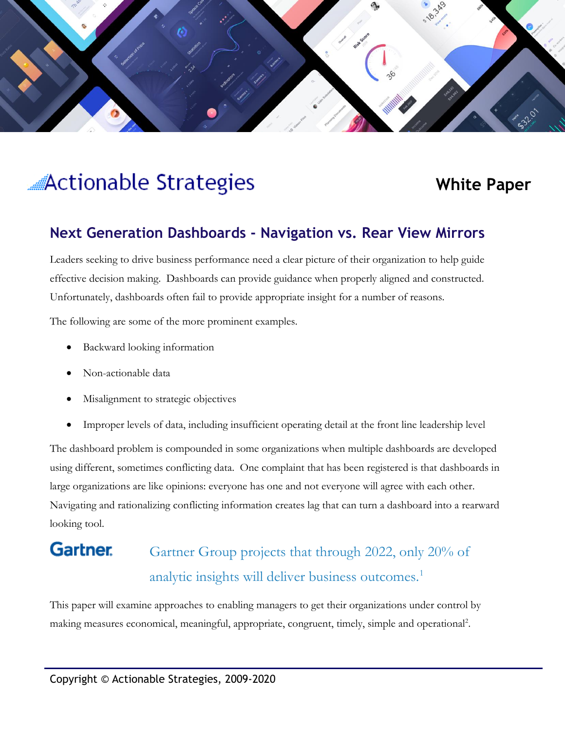

# **Actionable Strategies**

# **White Paper**

## **Next Generation Dashboards - Navigation vs. Rear View Mirrors**

Leaders seeking to drive business performance need a clear picture of their organization to help guide effective decision making. Dashboards can provide guidance when properly aligned and constructed. Unfortunately, dashboards often fail to provide appropriate insight for a number of reasons.

The following are some of the more prominent examples.

- Backward looking information
- Non-actionable data
- Misalignment to strategic objectives
- Improper levels of data, including insufficient operating detail at the front line leadership level

The dashboard problem is compounded in some organizations when multiple dashboards are developed using different, sometimes conflicting data. One complaint that has been registered is that dashboards in large organizations are like opinions: everyone has one and not everyone will agree with each other. Navigating and rationalizing conflicting information creates lag that can turn a dashboard into a rearward looking tool.

#### **Gartner** Gartner Group projects that through 2022, only 20% of analytic insights will deliver business outcomes.<sup>1</sup>

This paper will examine approaches to enabling managers to get their organizations under control by making measures economical, meaningful, appropriate, congruent, timely, simple and operational<sup>2</sup>.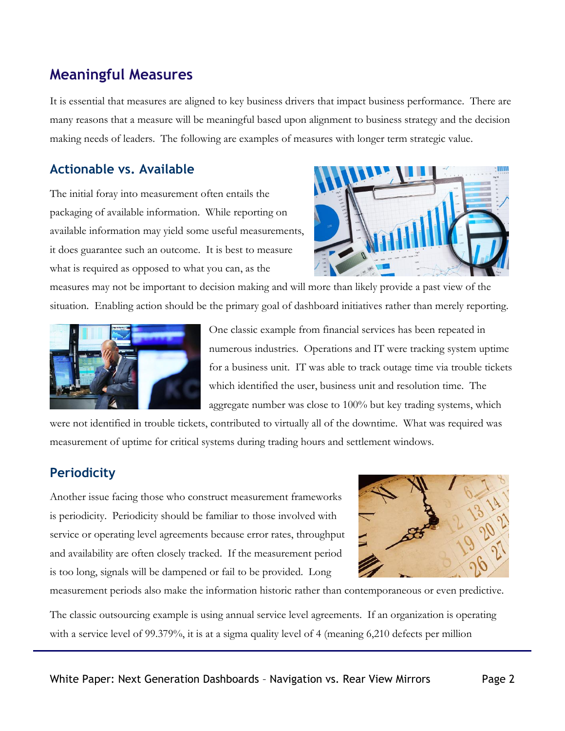# **Meaningful Measures**

It is essential that measures are aligned to key business drivers that impact business performance. There are many reasons that a measure will be meaningful based upon alignment to business strategy and the decision making needs of leaders. The following are examples of measures with longer term strategic value.

#### **Actionable vs. Available**

The initial foray into measurement often entails the packaging of available information. While reporting on available information may yield some useful measurements, it does guarantee such an outcome. It is best to measure what is required as opposed to what you can, as the



measures may not be important to decision making and will more than likely provide a past view of the situation. Enabling action should be the primary goal of dashboard initiatives rather than merely reporting.



One classic example from financial services has been repeated in numerous industries. Operations and IT were tracking system uptime for a business unit. IT was able to track outage time via trouble tickets which identified the user, business unit and resolution time. The aggregate number was close to 100% but key trading systems, which

were not identified in trouble tickets, contributed to virtually all of the downtime. What was required was measurement of uptime for critical systems during trading hours and settlement windows.

## **Periodicity**

Another issue facing those who construct measurement frameworks is periodicity. Periodicity should be familiar to those involved with service or operating level agreements because error rates, throughput and availability are often closely tracked. If the measurement period is too long, signals will be dampened or fail to be provided. Long



measurement periods also make the information historic rather than contemporaneous or even predictive.

The classic outsourcing example is using annual service level agreements. If an organization is operating with a service level of 99.379%, it is at a sigma quality level of 4 (meaning 6,210 defects per million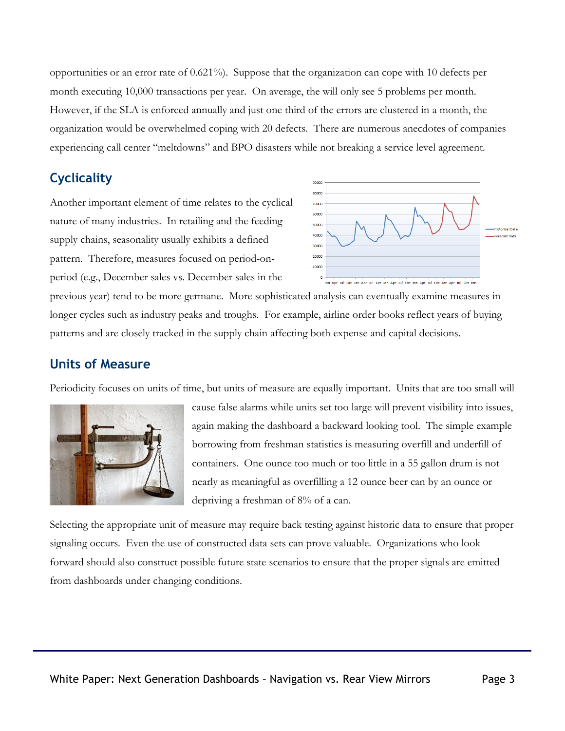opportunities or an error rate of 0.621%). Suppose that the organization can cope with 10 defects per month executing 10,000 transactions per year. On average, the will only see 5 problems per month. However, if the SLA is enforced annually and just one third of the errors are clustered in a month, the organization would be overwhelmed coping with 20 defects. There are numerous anecdotes of companies experiencing call center "meltdowns" and BPO disasters while not breaking a service level agreement.

### **Cyclicality**

Another important element of time relates to the cyclical nature of many industries. In retailing and the feeding supply chains, seasonality usually exhibits a defined pattern. Therefore, measures focused on period-onperiod (e.g., December sales vs. December sales in the



previous year) tend to be more germane. More sophisticated analysis can eventually examine measures in longer cycles such as industry peaks and troughs. For example, airline order books reflect years of buying patterns and are closely tracked in the supply chain affecting both expense and capital decisions.

#### **Units of Measure**

Periodicity focuses on units of time, but units of measure are equally important. Units that are too small will



cause false alarms while units set too large will prevent visibility into issues, again making the dashboard a backward looking tool. The simple example borrowing from freshman statistics is measuring overfill and underfill of containers. One ounce too much or too little in a 55 gallon drum is not nearly as meaningful as overfilling a 12 ounce beer can by an ounce or depriving a freshman of 8% of a can.

Selecting the appropriate unit of measure may require back testing against historic data to ensure that proper signaling occurs. Even the use of constructed data sets can prove valuable. Organizations who look forward should also construct possible future state scenarios to ensure that the proper signals are emitted from dashboards under changing conditions.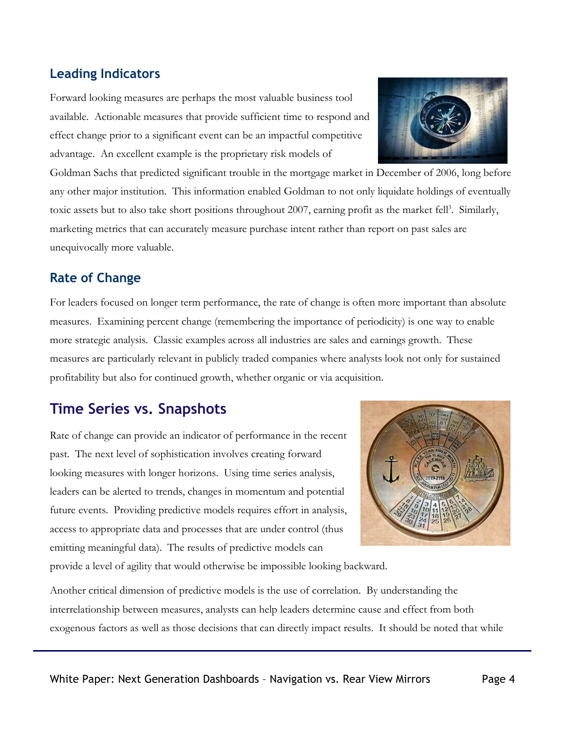#### **Leading Indicators**

Forward looking measures are perhaps the most valuable business tool available. Actionable measures that provide sufficient time to respond and effect change prior to a significant event can be an impactful competitive advantage. An excellent example is the proprietary risk models of



#### **Rate of Change**

For leaders focused on longer term performance, the rate of change is often more important than absolute measures. Examining percent change (remembering the importance of periodicity) is one way to enable more strategic analysis. Classic examples across all industries are sales and earnings growth. These measures are particularly relevant in publicly traded companies where analysts look not only for sustained profitability but also for continued growth, whether organic or via acquisition.

## **Time Series vs. Snapshots**

Rate of change can provide an indicator of performance in the recent past. The next level of sophistication involves creating forward looking measures with longer horizons. Using time series analysis, leaders can be alerted to trends, changes in momentum and potential future events. Providing predictive models requires effort in analysis, access to appropriate data and processes that are under control (thus emitting meaningful data). The results of predictive models can



provide a level of agility that would otherwise be impossible looking backward.

Another critical dimension of predictive models is the use of correlation. By understanding the interrelationship between measures, analysts can help leaders determine cause and effect from both exogenous factors as well as those decisions that can directly impact results. It should be noted that while

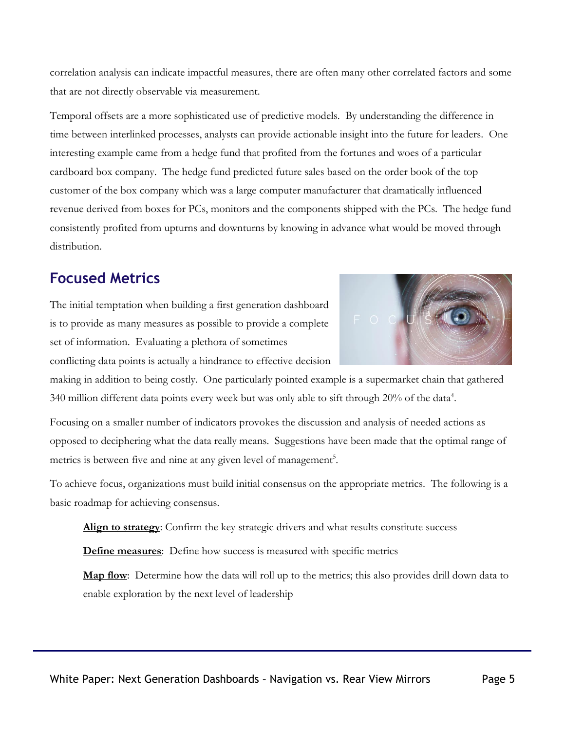correlation analysis can indicate impactful measures, there are often many other correlated factors and some that are not directly observable via measurement.

Temporal offsets are a more sophisticated use of predictive models. By understanding the difference in time between interlinked processes, analysts can provide actionable insight into the future for leaders. One interesting example came from a hedge fund that profited from the fortunes and woes of a particular cardboard box company. The hedge fund predicted future sales based on the order book of the top customer of the box company which was a large computer manufacturer that dramatically influenced revenue derived from boxes for PCs, monitors and the components shipped with the PCs. The hedge fund consistently profited from upturns and downturns by knowing in advance what would be moved through distribution.

# **Focused Metrics**

The initial temptation when building a first generation dashboard is to provide as many measures as possible to provide a complete set of information. Evaluating a plethora of sometimes



conflicting data points is actually a hindrance to effective decision

making in addition to being costly. One particularly pointed example is a supermarket chain that gathered 340 million different data points every week but was only able to sift through 20% of the data<sup>4</sup>.

Focusing on a smaller number of indicators provokes the discussion and analysis of needed actions as opposed to deciphering what the data really means. Suggestions have been made that the optimal range of metrics is between five and nine at any given level of management<sup>5</sup>.

To achieve focus, organizations must build initial consensus on the appropriate metrics. The following is a basic roadmap for achieving consensus.

**Align to strategy**: Confirm the key strategic drivers and what results constitute success

**Define measures**: Define how success is measured with specific metrics

**Map flow**: Determine how the data will roll up to the metrics; this also provides drill down data to enable exploration by the next level of leadership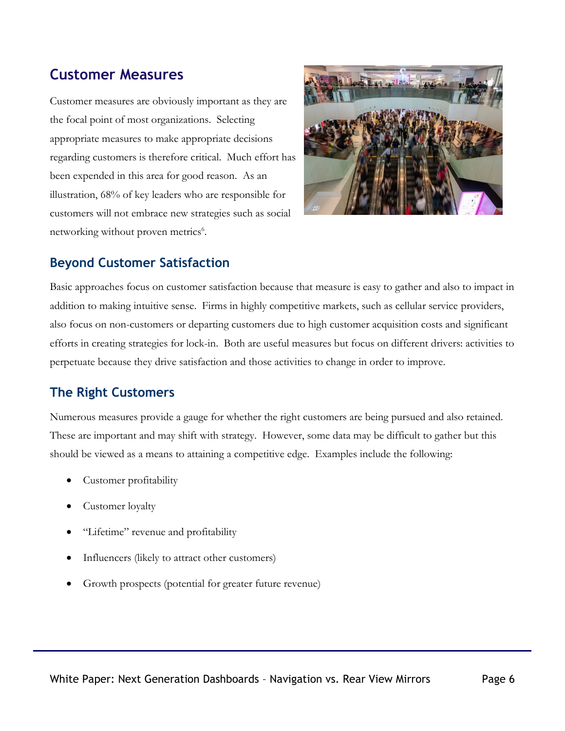## **Customer Measures**

Customer measures are obviously important as they are the focal point of most organizations. Selecting appropriate measures to make appropriate decisions regarding customers is therefore critical. Much effort has been expended in this area for good reason. As an illustration, 68% of key leaders who are responsible for customers will not embrace new strategies such as social networking without proven metrics<sup>6</sup>.



#### **Beyond Customer Satisfaction**

Basic approaches focus on customer satisfaction because that measure is easy to gather and also to impact in addition to making intuitive sense. Firms in highly competitive markets, such as cellular service providers, also focus on non-customers or departing customers due to high customer acquisition costs and significant efforts in creating strategies for lock-in. Both are useful measures but focus on different drivers: activities to perpetuate because they drive satisfaction and those activities to change in order to improve.

## **The Right Customers**

Numerous measures provide a gauge for whether the right customers are being pursued and also retained. These are important and may shift with strategy. However, some data may be difficult to gather but this should be viewed as a means to attaining a competitive edge. Examples include the following:

- Customer profitability
- Customer loyalty
- "Lifetime" revenue and profitability
- Influencers (likely to attract other customers)
- Growth prospects (potential for greater future revenue)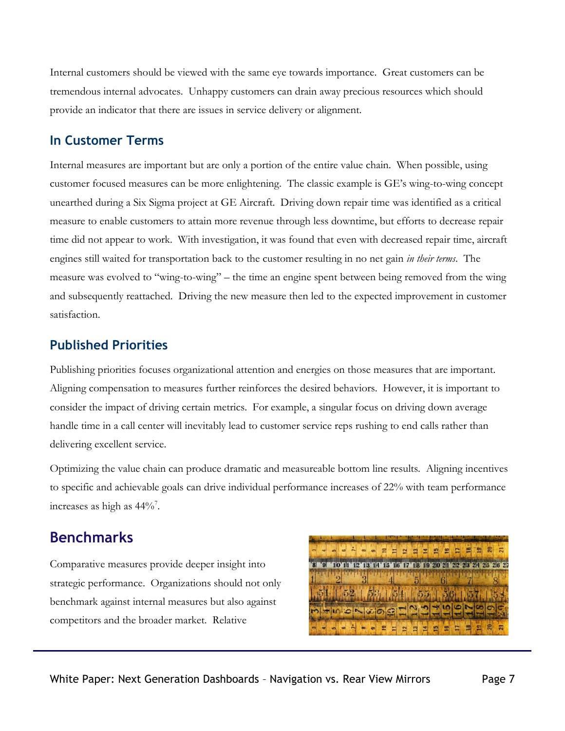Internal customers should be viewed with the same eye towards importance. Great customers can be tremendous internal advocates. Unhappy customers can drain away precious resources which should provide an indicator that there are issues in service delivery or alignment.

#### **In Customer Terms**

Internal measures are important but are only a portion of the entire value chain. When possible, using customer focused measures can be more enlightening. The classic example is GE's wing-to-wing concept unearthed during a Six Sigma project at GE Aircraft. Driving down repair time was identified as a critical measure to enable customers to attain more revenue through less downtime, but efforts to decrease repair time did not appear to work. With investigation, it was found that even with decreased repair time, aircraft engines still waited for transportation back to the customer resulting in no net gain *in their terms*. The measure was evolved to "wing-to-wing" – the time an engine spent between being removed from the wing and subsequently reattached. Driving the new measure then led to the expected improvement in customer satisfaction.

## **Published Priorities**

Publishing priorities focuses organizational attention and energies on those measures that are important. Aligning compensation to measures further reinforces the desired behaviors. However, it is important to consider the impact of driving certain metrics. For example, a singular focus on driving down average handle time in a call center will inevitably lead to customer service reps rushing to end calls rather than delivering excellent service.

Optimizing the value chain can produce dramatic and measureable bottom line results. Aligning incentives to specific and achievable goals can drive individual performance increases of 22% with team performance increases as high as  $44\%$ <sup>7</sup>.

# **Benchmarks**

Comparative measures provide deeper insight into strategic performance. Organizations should not only benchmark against internal measures but also against competitors and the broader market. Relative